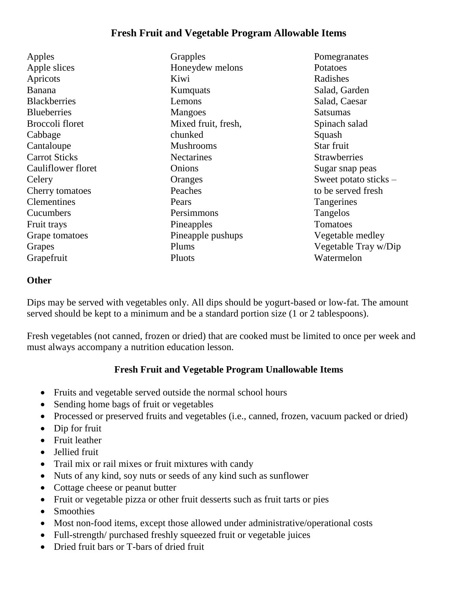## **Fresh Fruit and Vegetable Program Allowable Items**

Apples Apple slices Apricots Banana **Blackberries Blueberries** Broccoli floret Cabbage Cantaloupe Carrot Sticks Cauliflower floret **Celery** Cherry tomatoes **Clementines** Cucumbers Fruit trays Grape tomatoes Grapes Grapefruit

**Grapples** Honeydew melons Kiwi **Kumquats** Lemons Mangoes Mixed fruit, fresh, chunked Mushrooms **Nectarines** Onions **Oranges** Peaches Pears Persimmons Pineapples Pineapple pushups Plums Pluots

Pomegranates Potatoes Radishes Salad, Garden Salad, Caesar Satsumas Spinach salad Squash Star fruit **Strawberries** Sugar snap peas Sweet potato sticks – to be served fresh **Tangerines** Tangelos Tomatoes Vegetable medley Vegetable Tray w/Dip Watermelon

## **Other**

Dips may be served with vegetables only. All dips should be yogurt-based or low-fat. The amount served should be kept to a minimum and be a standard portion size (1 or 2 tablespoons).

Fresh vegetables (not canned, frozen or dried) that are cooked must be limited to once per week and must always accompany a nutrition education lesson.

## **Fresh Fruit and Vegetable Program Unallowable Items**

- Fruits and vegetable served outside the normal school hours
- Sending home bags of fruit or vegetables
- Processed or preserved fruits and vegetables (i.e., canned, frozen, vacuum packed or dried)
- Dip for fruit
- Fruit leather
- Jellied fruit
- Trail mix or rail mixes or fruit mixtures with candy
- Nuts of any kind, soy nuts or seeds of any kind such as sunflower
- Cottage cheese or peanut butter
- Fruit or vegetable pizza or other fruit desserts such as fruit tarts or pies
- Smoothies
- Most non-food items, except those allowed under administrative/operational costs
- Full-strength/ purchased freshly squeezed fruit or vegetable juices
- Dried fruit bars or T-bars of dried fruit